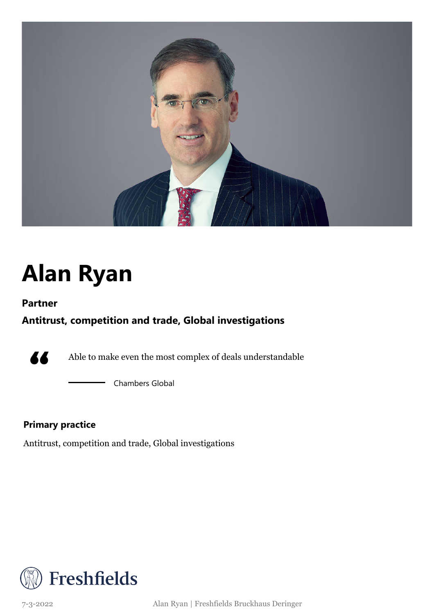

# **Alan Ryan**

### **Partner**

### **Antitrust, competition and trade, Global investigations**



Able to make even the most complex of deals understandable

Chambers Global

### **Primary practice**

Antitrust, competition and trade, Global investigations

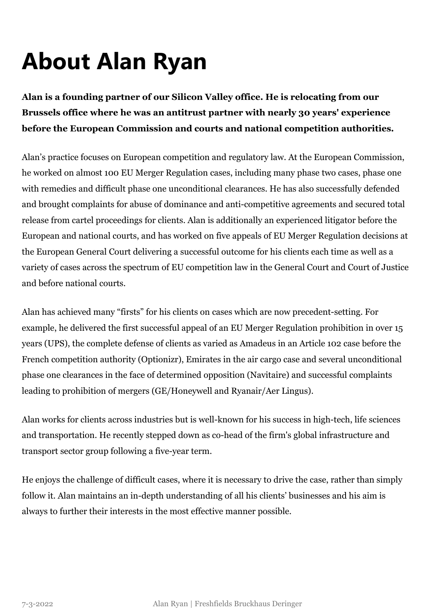# **About Alan Ryan**

**Alan is a founding partner of our Silicon Valley office. He is relocating from our Brussels office where he was an antitrust partner with nearly 30 years' experience before the European Commission and courts and national competition authorities.**

Alan's practice focuses on European competition and regulatory law. At the European Commission, he worked on almost 100 EU Merger Regulation cases, including many phase two cases, phase one with remedies and difficult phase one unconditional clearances. He has also successfully defended and brought complaints for abuse of dominance and anti-competitive agreements and secured total release from cartel proceedings for clients. Alan is additionally an experienced litigator before the European and national courts, and has worked on five appeals of EU Merger Regulation decisions at the European General Court delivering a successful outcome for his clients each time as well as a variety of cases across the spectrum of EU competition law in the General Court and Court of Justice and before national courts.

Alan has achieved many "firsts" for his clients on cases which are now precedent-setting. For example, he delivered the first successful appeal of an EU Merger Regulation prohibition in over 15 years (UPS), the complete defense of clients as varied as Amadeus in an Article 102 case before the French competition authority (Optionizr), Emirates in the air cargo case and several unconditional phase one clearances in the face of determined opposition (Navitaire) and successful complaints leading to prohibition of mergers (GE/Honeywell and Ryanair/Aer Lingus).

Alan works for clients across industries but is well-known for his success in high-tech, life sciences and transportation. He recently stepped down as co-head of the firm's global infrastructure and transport sector group following a five-year term.

He enjoys the challenge of difficult cases, where it is necessary to drive the case, rather than simply follow it. Alan maintains an in-depth understanding of all his clients' businesses and his aim is always to further their interests in the most effective manner possible.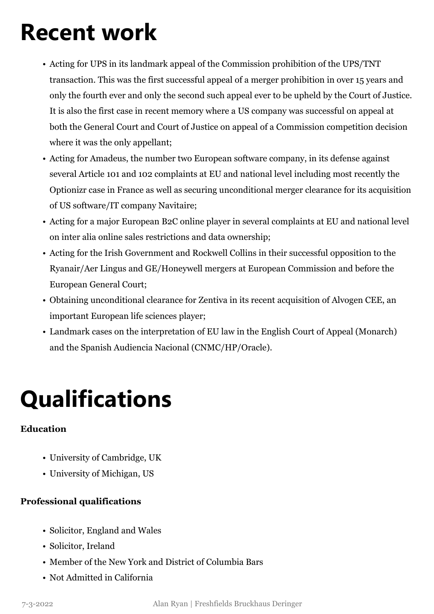### **Recent work**

- Acting for UPS in its landmark appeal of the Commission prohibition of the UPS/TNT transaction. This was the first successful appeal of a merger prohibition in over 15 years and only the fourth ever and only the second such appeal ever to be upheld by the Court of Justice. It is also the first case in recent memory where a US company was successful on appeal at both the General Court and Court of Justice on appeal of a Commission competition decision where it was the only appellant;
- Acting for Amadeus, the number two European software company, in its defense against several Article 101 and 102 complaints at EU and national level including most recently the Optionizr case in France as well as securing unconditional merger clearance for its acquisition of US software/IT company Navitaire;
- Acting for a major European B2C online player in several complaints at EU and national level on inter alia online sales restrictions and data ownership;
- Acting for the Irish Government and Rockwell Collins in their successful opposition to the Ryanair/Aer Lingus and GE/Honeywell mergers at European Commission and before the European General Court;
- Obtaining unconditional clearance for Zentiva in its recent acquisition of Alvogen CEE, an important European life sciences player;
- Landmark cases on the interpretation of EU law in the English Court of Appeal (Monarch) and the Spanish Audiencia Nacional (CNMC/HP/Oracle).

## **Qualifications**

#### **Education**

- University of Cambridge, UK
- University of Michigan, US

### **Professional qualifications**

- Solicitor, England and Wales
- Solicitor, Ireland
- Member of the New York and District of Columbia Bars
- Not Admitted in California